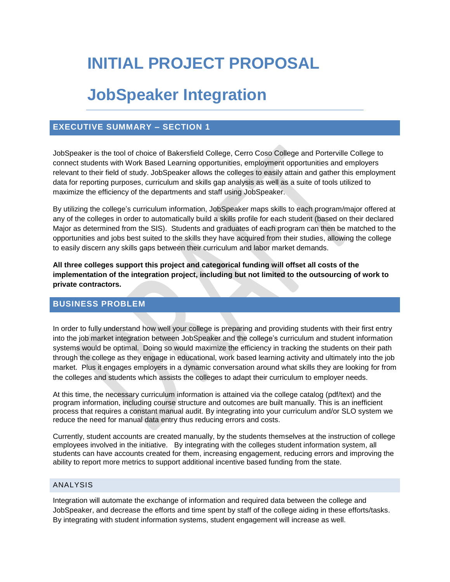# **INITIAL PROJECT PROPOSAL**

## **JobSpeaker Integration**

## **EXECUTIVE SUMMARY – SECTION 1**

JobSpeaker is the tool of choice of Bakersfield College, Cerro Coso College and Porterville College to connect students with Work Based Learning opportunities, employment opportunities and employers relevant to their field of study. JobSpeaker allows the colleges to easily attain and gather this employment data for reporting purposes, curriculum and skills gap analysis as well as a suite of tools utilized to maximize the efficiency of the departments and staff using JobSpeaker.

By utilizing the college's curriculum information, JobSpeaker maps skills to each program/major offered at any of the colleges in order to automatically build a skills profile for each student (based on their declared Major as determined from the SIS). Students and graduates of each program can then be matched to the opportunities and jobs best suited to the skills they have acquired from their studies, allowing the college to easily discern any skills gaps between their curriculum and labor market demands.

**All three colleges support this project and categorical funding will offset all costs of the implementation of the integration project, including but not limited to the outsourcing of work to private contractors.**

## **BUSINESS PROBLEM**

In order to fully understand how well your college is preparing and providing students with their first entry into the job market integration between JobSpeaker and the college's curriculum and student information systems would be optimal. Doing so would maximize the efficiency in tracking the students on their path through the college as they engage in educational, work based learning activity and ultimately into the job market. Plus it engages employers in a dynamic conversation around what skills they are looking for from the colleges and students which assists the colleges to adapt their curriculum to employer needs.

At this time, the necessary curriculum information is attained via the college catalog (pdf/text) and the program information, including course structure and outcomes are built manually. This is an inefficient process that requires a constant manual audit. By integrating into your curriculum and/or SLO system we reduce the need for manual data entry thus reducing errors and costs.

Currently, student accounts are created manually, by the students themselves at the instruction of college employees involved in the initiative. By integrating with the colleges student information system, all students can have accounts created for them, increasing engagement, reducing errors and improving the ability to report more metrics to support additional incentive based funding from the state.

## ANALYSIS

Integration will automate the exchange of information and required data between the college and JobSpeaker, and decrease the efforts and time spent by staff of the college aiding in these efforts/tasks. By integrating with student information systems, student engagement will increase as well.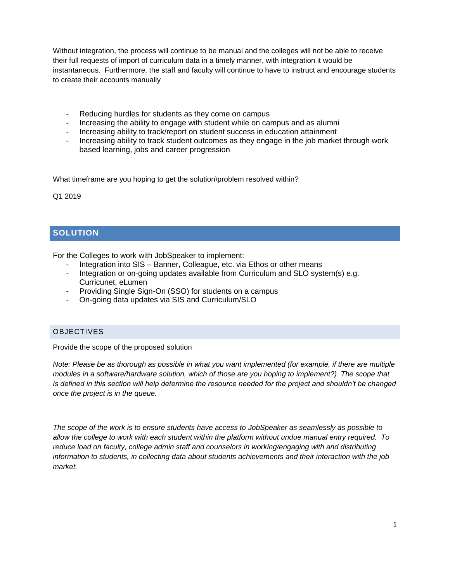Without integration, the process will continue to be manual and the colleges will not be able to receive their full requests of import of curriculum data in a timely manner, with integration it would be instantaneous. Furthermore, the staff and faculty will continue to have to instruct and encourage students to create their accounts manually

- Reducing hurdles for students as they come on campus
- Increasing the ability to engage with student while on campus and as alumni
- Increasing ability to track/report on student success in education attainment
- Increasing ability to track student outcomes as they engage in the job market through work based learning, jobs and career progression

What timeframe are you hoping to get the solution\problem resolved within?

Q1 2019

## **SOLUTION**

For the Colleges to work with JobSpeaker to implement:

- Integration into SIS Banner, Colleague, etc. via Ethos or other means
- Integration or on-going updates available from Curriculum and SLO system(s) e.g. Curricunet, eLumen
- Providing Single Sign-On (SSO) for students on a campus
- On-going data updates via SIS and Curriculum/SLO

## OBJECTIVES

Provide the scope of the proposed solution

*Note: Please be as thorough as possible in what you want implemented (for example, if there are multiple modules in a software/hardware solution, which of those are you hoping to implement?) The scope that is defined in this section will help determine the resource needed for the project and shouldn't be changed once the project is in the queue.*

*The scope of the work is to ensure students have access to JobSpeaker as seamlessly as possible to allow the college to work with each student within the platform without undue manual entry required. To reduce load on faculty, college admin staff and counselors in working/engaging with and distributing information to students, in collecting data about students achievements and their interaction with the job market.*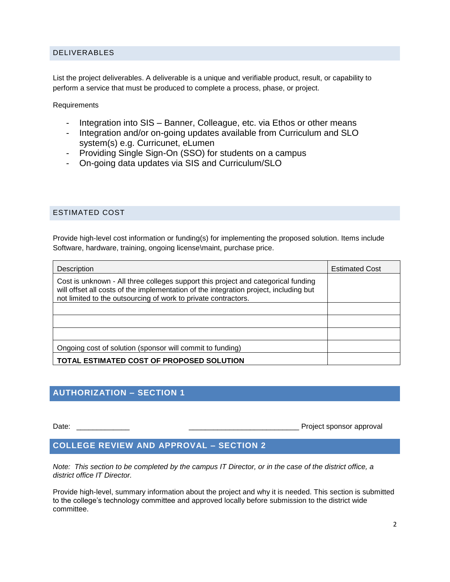#### DELIVERABLES

List the project deliverables. A deliverable is a unique and verifiable product, result, or capability to perform a service that must be produced to complete a process, phase, or project.

**Requirements** 

- Integration into SIS Banner, Colleague, etc. via Ethos or other means
- Integration and/or on-going updates available from Curriculum and SLO system(s) e.g. Curricunet, eLumen
- Providing Single Sign-On (SSO) for students on a campus
- On-going data updates via SIS and Curriculum/SLO

#### ESTIMATED COST

Provide high-level cost information or funding(s) for implementing the proposed solution. Items include Software, hardware, training, ongoing license\maint, purchase price.

| Description                                                                                                                                                                                                                                  | <b>Estimated Cost</b> |
|----------------------------------------------------------------------------------------------------------------------------------------------------------------------------------------------------------------------------------------------|-----------------------|
| Cost is unknown - All three colleges support this project and categorical funding<br>will offset all costs of the implementation of the integration project, including but<br>not limited to the outsourcing of work to private contractors. |                       |
|                                                                                                                                                                                                                                              |                       |
|                                                                                                                                                                                                                                              |                       |
|                                                                                                                                                                                                                                              |                       |
| Ongoing cost of solution (sponsor will commit to funding)                                                                                                                                                                                    |                       |
| TOTAL ESTIMATED COST OF PROPOSED SOLUTION                                                                                                                                                                                                    |                       |

## **AUTHORIZATION – SECTION 1**

Date: **Date: Date: Date: Date: Date: Date: Date: Date: Date: Date: Date: Date: Date: Date: Date: Date: Date: Date: Date: Date: Date: Date: Date: Date: Date: Date: Date:**

## **COLLEGE REVIEW AND APPROVAL – SECTION 2**

*Note: This section to be completed by the campus IT Director, or in the case of the district office, a district office IT Director.*

Provide high-level, summary information about the project and why it is needed. This section is submitted to the college's technology committee and approved locally before submission to the district wide committee.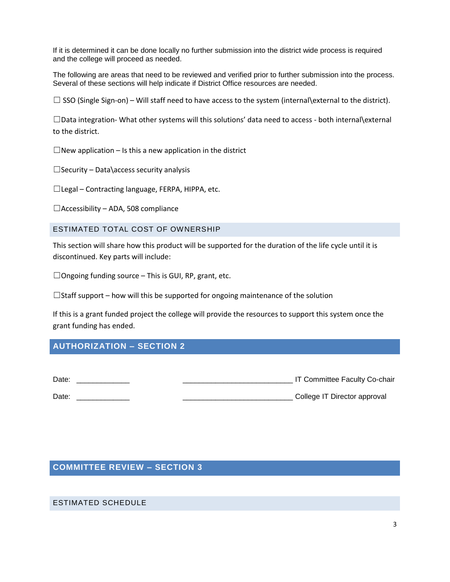If it is determined it can be done locally no further submission into the district wide process is required and the college will proceed as needed.

The following are areas that need to be reviewed and verified prior to further submission into the process. Several of these sections will help indicate if District Office resources are needed.

 $\Box$  SSO (Single Sign-on) – Will staff need to have access to the system (internal\external to the district).

☐Data integration- What other systems will this solutions' data need to access - both internal\external to the district.

 $\Box$ New application – Is this a new application in the district

 $\Box$ Security – Data\access security analysis

☐Legal – Contracting language, FERPA, HIPPA, etc.

 $\Box$ Accessibility – ADA, 508 compliance

#### ESTIMATED TOTAL COST OF OWNERSHIP

This section will share how this product will be supported for the duration of the life cycle until it is discontinued. Key parts will include:

 $\Box$ Ongoing funding source – This is GUI, RP, grant, etc.

 $\Box$ Staff support – how will this be supported for ongoing maintenance of the solution

If this is a grant funded project the college will provide the resources to support this system once the grant funding has ended.

## **AUTHORIZATION – SECTION 2**

| Date: | IT Committee Faculty Co-chair |
|-------|-------------------------------|
| Date: | College IT Director approval  |

## **COMMITTEE REVIEW – SECTION 3**

#### ESTIMATED SCHEDULE